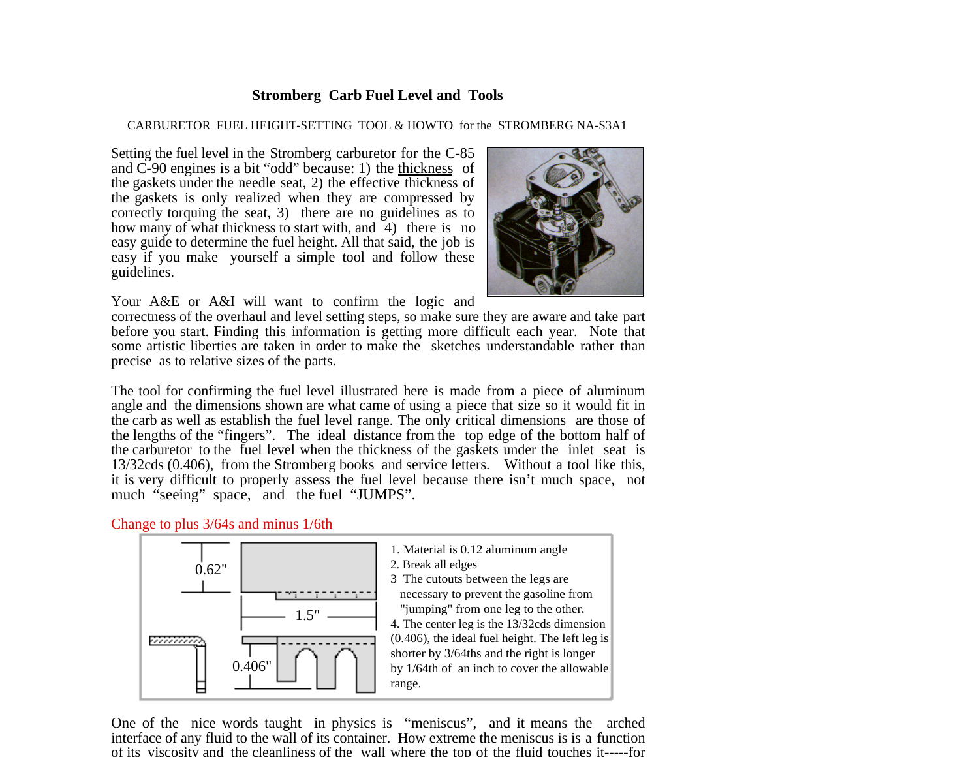## **Stromberg Carb Fuel Level and Tools**

## CARBURETOR FUEL HEIGHT-SETTING TOOL & HOWTO for the STROMBERG NA-S3A1

Setting the fuel level in the Stromberg carburetor for the C-85 and C-90 engines is a bit "odd" because: 1) the thickness of the gaskets under the needle seat, 2) the effective thickness of the gaskets is only realized when they are compressed by correctly torquing the seat, 3) there are no guidelines as to how many of what thickness to start with, and 4) there is no easy guide to determine the fuel height. All that said, the job is easy if you make yourself a simple tool and follow these guidelines.



Your A&E or A&I will want to confirm the logic and

correctness of the overhaul and level setting steps, so make sure they are aware and take part before you start. Finding this information is getting more difficult each year. Note that some artistic liberties are taken in order to make the sketches understandable rather than precise as to relative sizes of the parts.

The tool for confirming the fuel level illustrated here is made from a piece of aluminum angle and the dimensions shown are what came of using a piece that size so it would fit in the carb as well as establish the fuel level range. The only critical dimensions are those of the lengths of the "fingers". The ideal distance from the top edge of the bottom half of the carburetor to the fuel level when the thickness of the gaskets under the inlet seat is 13/32cds (0.406), from the Stromberg books and service letters. Without a tool like this, it is very difficult to properly assess the fuel level because there isn't much space, not much "seeing" space, and the fuel "JUMPS".

## Change to plus 3/64s and minus 1/6th



One of the nice words taught in physics is "meniscus", and it means the arched interface of any fluid to the wall of its container. How extreme the meniscus is is a function of its viscosity and the cleanliness of the wall where the top of the fluid touches it-----for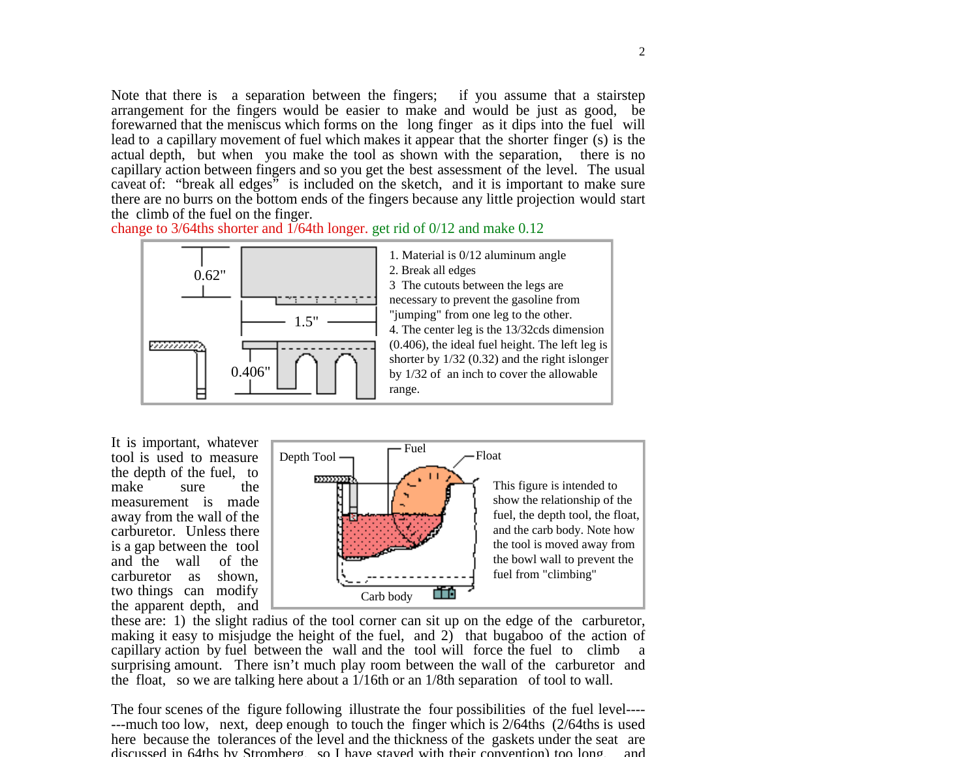Note that there is a separation between the fingers; if you assume that a stairstep arrangement for the fingers would be easier to make and would be just as good, be forewarned that the meniscus which forms on the long finger as it dips into the fuel will lead to a capillary movement of fuel which makes it appear that the shorter finger (s) is the actual depth, but when you make the tool as shown with the separation, there is no capillary action between fingers and so you get the best assessment of the level. The usual caveat of: "break all edges" is included on the sketch, and it is important to make sure there are no burrs on the bottom ends of the fingers because any little projection would start the climb of the fuel on the finger.

change to 3/64ths shorter and 1/64th longer. get rid of 0/12 and make 0.12



It is important, whatever tool is used to measure the depth of the fuel, to make sure the measurement is made away from the wall of the carburetor. Unless there is a gap between the tool and the wall of the carburetor as shown, two things can modify the apparent depth, and



these are: 1) the slight radius of the tool corner can sit up on the edge of the carburetor, making it easy to misjudge the height of the fuel, and 2) that bugaboo of the action of capillary action by fuel between the wall and the tool will force the fuel to climb a surprising amount. There isn't much play room between the wall of the carburetor and the float, so we are talking here about a 1/16th or an 1/8th separation of tool to wall.

The four scenes of the figure following illustrate the four possibilities of the fuel level---- ---much too low, next, deep enough to touch the finger which is 2/64ths (2/64ths is used here because the tolerances of the level and the thickness of the gaskets under the seat are discussed in 64ths by Stromberg, so I have stayed with their convention) too long and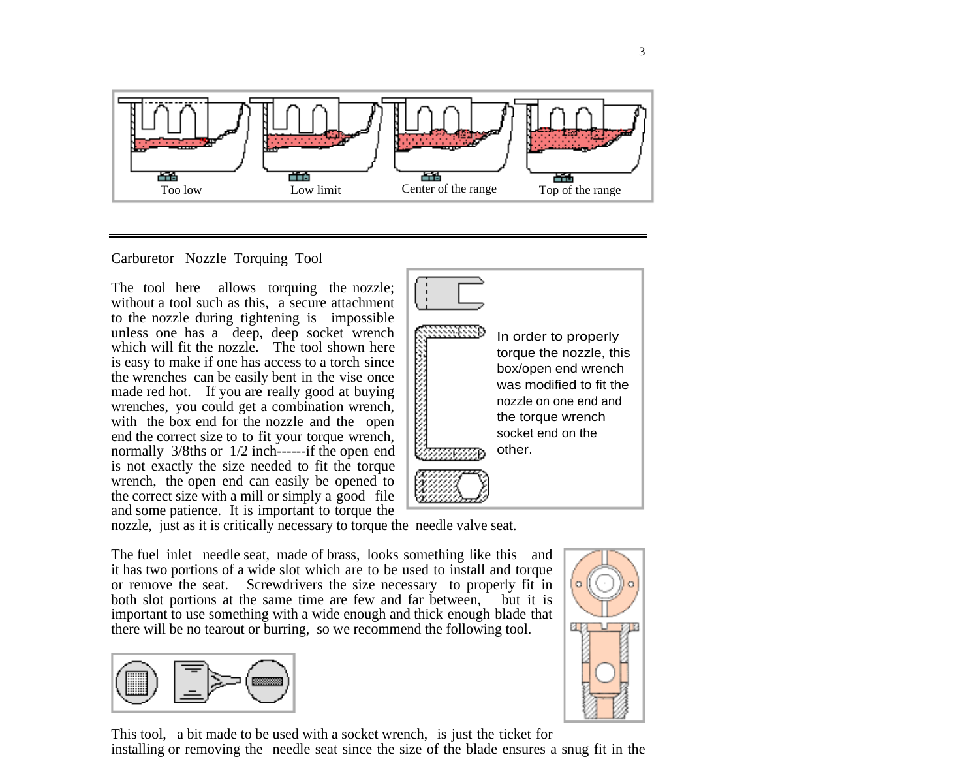

## Carburetor Nozzle Torquing Tool

The tool here allows torquing the nozzle; without a tool such as this, a secure attachment to the nozzle during tightening is impossible unless one has a deep, deep socket wrench which will fit the nozzle. The tool shown here is easy to make if one has access to a torch since the wrenches can be easily bent in the vise once made red hot. If you are really good at buying wrenches, you could get a combination wrench, with the box end for the nozzle and the open end the correct size to to fit your torque wrench, normally 3/8ths or 1/2 inch-------if the open end is not exactly the size needed to fit the torque wrench, the open end can easily be opened to the correct size with a mill or simply a good file and some patience. It is important to torque the



nozzle, just as it is critically necessary to torque the needle valve seat.

The fuel inlet needle seat, made of brass, looks something like this and it has two portions of a wide slot which are to be used to install and torque or remove the seat. Screwdrivers the size necessary to properly fit in both slot portions at the same time are few and far between, but it is important to use something with a wide enough and thick enough blade that there will be no tearout or burring, so we recommend the following tool.



This tool, a bit made to be used with a socket wrench, is just the ticket for installing or removing the needle seat since the size of the blade ensures a snug fit in the